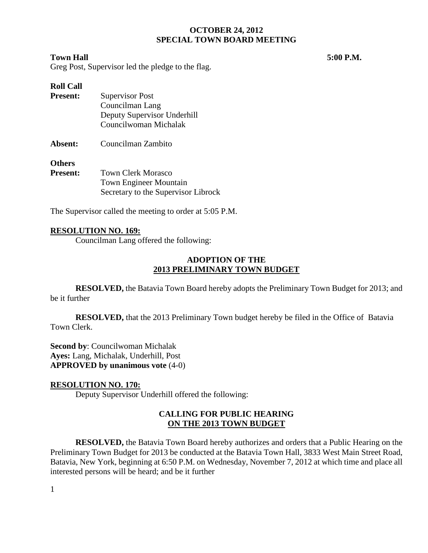#### **Town Hall 5:00 P.M.**

Greg Post, Supervisor led the pledge to the flag.

# **Roll Call**

| <b>Present:</b> | <b>Supervisor Post</b>      |  |  |
|-----------------|-----------------------------|--|--|
|                 | Councilman Lang             |  |  |
|                 | Deputy Supervisor Underhill |  |  |
|                 | Councilwoman Michalak       |  |  |
| Absent:         | Councilman Zambito          |  |  |
| <b>Others</b>   |                             |  |  |

| <b>Present:</b> | <b>Town Clerk Morasco</b>           |  |
|-----------------|-------------------------------------|--|
|                 | <b>Town Engineer Mountain</b>       |  |
|                 | Secretary to the Supervisor Librock |  |

The Supervisor called the meeting to order at 5:05 P.M.

### **RESOLUTION NO. 169:**

Councilman Lang offered the following:

### **ADOPTION OF THE 2013 PRELIMINARY TOWN BUDGET**

**RESOLVED,** the Batavia Town Board hereby adopts the Preliminary Town Budget for 2013; and be it further

**RESOLVED,** that the 2013 Preliminary Town budget hereby be filed in the Office of Batavia Town Clerk.

**Second by**: Councilwoman Michalak **Ayes:** Lang, Michalak, Underhill, Post **APPROVED by unanimous vote** (4-0)

# **RESOLUTION NO. 170:**

Deputy Supervisor Underhill offered the following:

### **CALLING FOR PUBLIC HEARING ON THE 2013 TOWN BUDGET**

**RESOLVED,** the Batavia Town Board hereby authorizes and orders that a Public Hearing on the Preliminary Town Budget for 2013 be conducted at the Batavia Town Hall, 3833 West Main Street Road, Batavia, New York, beginning at 6:50 P.M. on Wednesday, November 7, 2012 at which time and place all interested persons will be heard; and be it further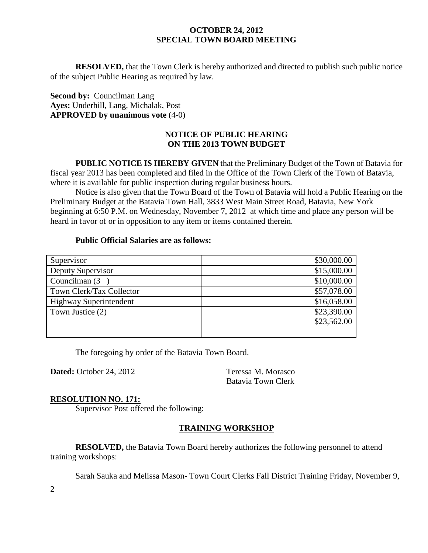**RESOLVED,** that the Town Clerk is hereby authorized and directed to publish such public notice of the subject Public Hearing as required by law.

**Second by: Councilman Lang Ayes:** Underhill, Lang, Michalak, Post **APPROVED by unanimous vote** (4-0)

### **NOTICE OF PUBLIC HEARING ON THE 2013 TOWN BUDGET**

**PUBLIC NOTICE IS HEREBY GIVEN** that the Preliminary Budget of the Town of Batavia for fiscal year 2013 has been completed and filed in the Office of the Town Clerk of the Town of Batavia, where it is available for public inspection during regular business hours.

Notice is also given that the Town Board of the Town of Batavia will hold a Public Hearing on the Preliminary Budget at the Batavia Town Hall, 3833 West Main Street Road, Batavia, New York beginning at 6:50 P.M. on Wednesday, November 7, 2012 at which time and place any person will be heard in favor of or in opposition to any item or items contained therein.

#### **Public Official Salaries are as follows:**

| Supervisor                    | \$30,000.00 |
|-------------------------------|-------------|
| Deputy Supervisor             | \$15,000.00 |
| Councilman (3)                | \$10,000.00 |
| Town Clerk/Tax Collector      | \$57,078.00 |
| <b>Highway Superintendent</b> | \$16,058.00 |
| Town Justice (2)              | \$23,390.00 |
|                               | \$23,562.00 |
|                               |             |

The foregoing by order of the Batavia Town Board.

**Dated:** October 24, 2012 Teressa M. Morasco

Batavia Town Clerk

#### **RESOLUTION NO. 171:**

Supervisor Post offered the following:

# **TRAINING WORKSHOP**

**RESOLVED,** the Batavia Town Board hereby authorizes the following personnel to attend training workshops:

Sarah Sauka and Melissa Mason- Town Court Clerks Fall District Training Friday, November 9,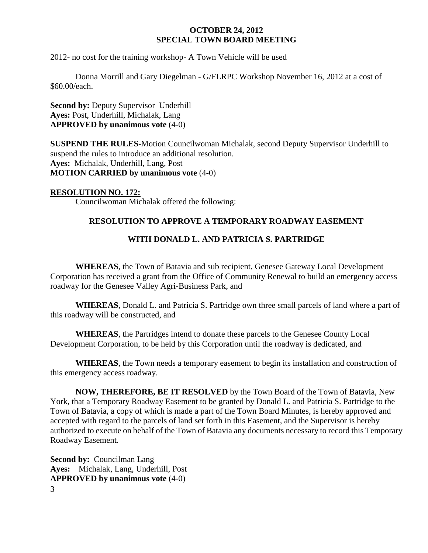2012- no cost for the training workshop- A Town Vehicle will be used

Donna Morrill and Gary Diegelman - G/FLRPC Workshop November 16, 2012 at a cost of \$60.00/each.

**Second by: Deputy Supervisor Underhill Ayes:** Post, Underhill, Michalak, Lang **APPROVED by unanimous vote** (4-0)

**SUSPEND THE RULES**-Motion Councilwoman Michalak, second Deputy Supervisor Underhill to suspend the rules to introduce an additional resolution. **Ayes:** Michalak, Underhill, Lang, Post **MOTION CARRIED by unanimous vote** (4-0)

### **RESOLUTION NO. 172:**

Councilwoman Michalak offered the following:

# **RESOLUTION TO APPROVE A TEMPORARY ROADWAY EASEMENT**

### **WITH DONALD L. AND PATRICIA S. PARTRIDGE**

**WHEREAS**, the Town of Batavia and sub recipient, Genesee Gateway Local Development Corporation has received a grant from the Office of Community Renewal to build an emergency access roadway for the Genesee Valley Agri-Business Park, and

**WHEREAS**, Donald L. and Patricia S. Partridge own three small parcels of land where a part of this roadway will be constructed, and

**WHEREAS**, the Partridges intend to donate these parcels to the Genesee County Local Development Corporation, to be held by this Corporation until the roadway is dedicated, and

**WHEREAS**, the Town needs a temporary easement to begin its installation and construction of this emergency access roadway.

**NOW, THEREFORE, BE IT RESOLVED** by the Town Board of the Town of Batavia, New York, that a Temporary Roadway Easement to be granted by Donald L. and Patricia S. Partridge to the Town of Batavia, a copy of which is made a part of the Town Board Minutes, is hereby approved and accepted with regard to the parcels of land set forth in this Easement, and the Supervisor is hereby authorized to execute on behalf of the Town of Batavia any documents necessary to record this Temporary Roadway Easement.

3 **Second by: Councilman Lang Ayes:** Michalak, Lang, Underhill, Post **APPROVED by unanimous vote** (4-0)